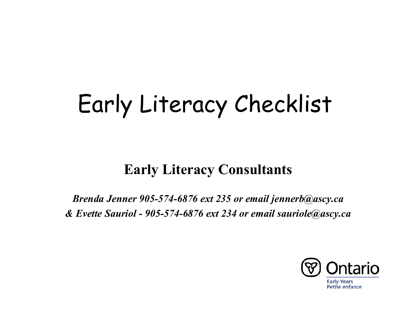#### **Early Literacy Consultants**

*Brenda Jenner 905-574-6876 ext 235 or email jennerb@ascy.ca & Evette Sauriol - 905-574-6876 ext 234 or email sauriole@ascy.ca*

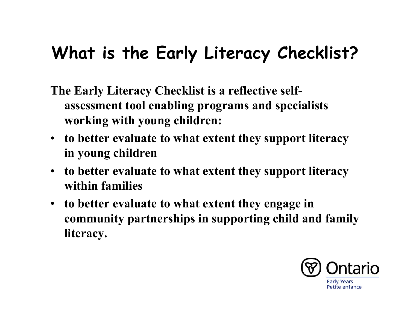## **What is the Early Literacy Checklist?**

- **The Early Literacy Checklist is a reflective selfassessment tool enabling programs and specialists working with young children:**
- **to better evaluate to what extent they support literacy in young children**
- **to better evaluate to what extent they support literacy within families**
- **to better evaluate to what extent they engage in community partnerships in supporting child and family literacy.**

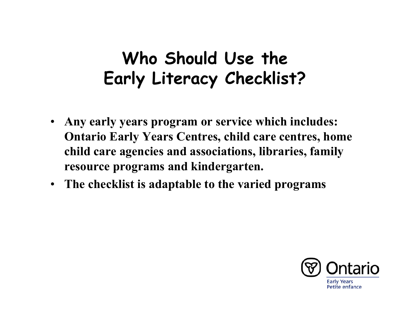### **Who Should Use the Early Literacy Checklist?**

- • **Any early years program or service which includes: Ontario Early Years Centres, child care centres, home child care agencies and associations, libraries, family resource programs and kindergarten.**
- **The checklist is adaptable to the varied programs**

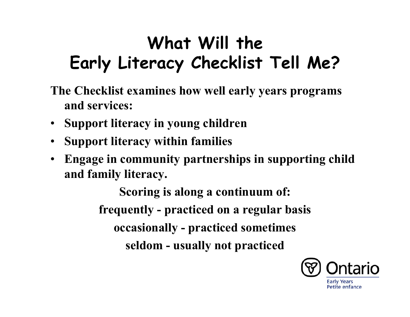## **What Will the Early Literacy Checklist Tell Me?**

- **The Checklist examines how well early years programs and services:**
- **Support literacy in young children**
- $\bullet$ **Support literacy within families**
- • **Engage in community partnerships in supporting child and family literacy.**

**Scoring is along a continuum of: frequently - practiced on a regular basis occasionally - practiced sometimes seldom - usually not practiced**

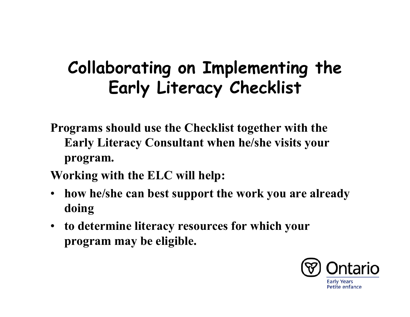### **Collaborating on Implementing the Early Literacy Checklist**

- **Programs should use the Checklist together with the Early Literacy Consultant when he/she visits your program.**
- **Working with the ELC will help:**
- $\bullet$  **how he/she can best support the work you are already doing**
- **to determine literacy resources for which your program may be eligible.**

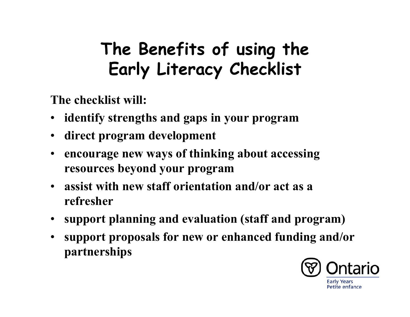## **The Benefits of using the Early Literacy Checklist**

**The checklist will:**

- **identify strengths and gaps in your program**
- •**direct program development**
- $\bullet$  **encourage new ways of thinking about accessing resources beyond your program**
- **assist with new staff orientation and/or act as a refresher**
- **support planning and evaluation (staff and program)**
- $\bullet$  **support proposals for new or enhanced funding and/or partnerships**

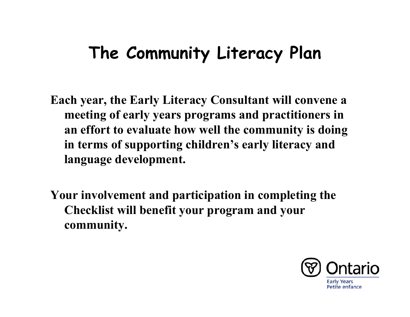## **The Community Literacy Plan**

**Each year, the Early Literacy Consultant will convene a meeting of early years programs and practitioners in an effort to evaluate how well the community is doing in terms of supporting children's early literacy and language development.**

**Your involvement and participation in completing the Checklist will benefit your program and your community.**

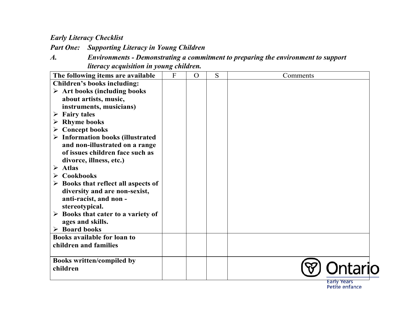*Part One: Supporting Literacy in Young Children*

*A. Environments - Demonstrating a commitment to preparing the environment to support literacy acquisition in young children.*

| The following items are available                  | $\overline{F}$ | $\overline{O}$ | S | Comments |
|----------------------------------------------------|----------------|----------------|---|----------|
| <b>Children's books including:</b>                 |                |                |   |          |
| $\triangleright$ Art books (including books        |                |                |   |          |
| about artists, music,                              |                |                |   |          |
| instruments, musicians)                            |                |                |   |          |
| <b>Fairy tales</b><br>➤                            |                |                |   |          |
| <b>Rhyme books</b><br>➤                            |                |                |   |          |
| $\triangleright$ Concept books                     |                |                |   |          |
| $\triangleright$ Information books (illustrated    |                |                |   |          |
| and non-illustrated on a range                     |                |                |   |          |
| of issues children face such as                    |                |                |   |          |
| divorce, illness, etc.)                            |                |                |   |          |
| $\triangleright$ Atlas                             |                |                |   |          |
| Cookbooks<br>➤                                     |                |                |   |          |
| $\triangleright$ Books that reflect all aspects of |                |                |   |          |
| diversity and are non-sexist,                      |                |                |   |          |
| anti-racist, and non-                              |                |                |   |          |
| stereotypical.                                     |                |                |   |          |
| $\triangleright$ Books that cater to a variety of  |                |                |   |          |
| ages and skills.                                   |                |                |   |          |
| $\triangleright$ Board books                       |                |                |   |          |
| <b>Books available for loan to</b>                 |                |                |   |          |
| children and families                              |                |                |   |          |
|                                                    |                |                |   |          |
| <b>Books written/compiled by</b>                   |                |                |   |          |
| children                                           |                |                |   |          |
|                                                    |                |                |   |          |

Early Years<br>Petite enfance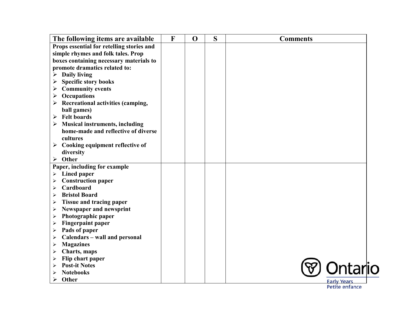| Props essential for retelling stories and<br>simple rhymes and folk tales. Prop<br>boxes containing necessary materials to<br>promote dramatics related to:<br>$\triangleright$ Daily living<br><b>Specific story books</b><br>➤<br><b>Community events</b><br>➤<br>Occupations<br>➤<br>$\triangleright$ Recreational activities (camping,<br>ball games)<br>$\triangleright$ Felt boards<br>$\triangleright$ Musical instruments, including<br>home-made and reflective of diverse<br>cultures<br>Cooking equipment reflective of<br>➤<br>diversity<br>$\triangleright$ Other<br>Paper, including for example<br>Lined paper<br>$\blacktriangleright$<br><b>Construction paper</b><br>➤<br>Cardboard<br>⋗<br><b>Bristol Board</b><br>➤<br><b>Tissue and tracing paper</b><br>➤<br>Newspaper and newsprint<br>➤<br>Photographic paper<br>➤<br><b>Fingerpaint paper</b><br>$\blacktriangleright$<br>Pads of paper<br>$\blacktriangleright$<br>Calendars - wall and personal<br>➤<br><b>Magazines</b><br>➤<br>Charts, maps<br>➤<br>Flip chart paper<br>➤<br><b>Post-it Notes</b><br><b>Notebooks</b><br>➤<br>Other<br>➤<br><b>Early Years</b> | The following items are available | F | $\mathbf 0$ | S | <b>Comments</b> |
|---------------------------------------------------------------------------------------------------------------------------------------------------------------------------------------------------------------------------------------------------------------------------------------------------------------------------------------------------------------------------------------------------------------------------------------------------------------------------------------------------------------------------------------------------------------------------------------------------------------------------------------------------------------------------------------------------------------------------------------------------------------------------------------------------------------------------------------------------------------------------------------------------------------------------------------------------------------------------------------------------------------------------------------------------------------------------------------------------------------------------------------------|-----------------------------------|---|-------------|---|-----------------|
|                                                                                                                                                                                                                                                                                                                                                                                                                                                                                                                                                                                                                                                                                                                                                                                                                                                                                                                                                                                                                                                                                                                                             |                                   |   |             |   |                 |
|                                                                                                                                                                                                                                                                                                                                                                                                                                                                                                                                                                                                                                                                                                                                                                                                                                                                                                                                                                                                                                                                                                                                             |                                   |   |             |   |                 |
|                                                                                                                                                                                                                                                                                                                                                                                                                                                                                                                                                                                                                                                                                                                                                                                                                                                                                                                                                                                                                                                                                                                                             |                                   |   |             |   |                 |
|                                                                                                                                                                                                                                                                                                                                                                                                                                                                                                                                                                                                                                                                                                                                                                                                                                                                                                                                                                                                                                                                                                                                             |                                   |   |             |   |                 |
|                                                                                                                                                                                                                                                                                                                                                                                                                                                                                                                                                                                                                                                                                                                                                                                                                                                                                                                                                                                                                                                                                                                                             |                                   |   |             |   |                 |
|                                                                                                                                                                                                                                                                                                                                                                                                                                                                                                                                                                                                                                                                                                                                                                                                                                                                                                                                                                                                                                                                                                                                             |                                   |   |             |   |                 |
|                                                                                                                                                                                                                                                                                                                                                                                                                                                                                                                                                                                                                                                                                                                                                                                                                                                                                                                                                                                                                                                                                                                                             |                                   |   |             |   |                 |
|                                                                                                                                                                                                                                                                                                                                                                                                                                                                                                                                                                                                                                                                                                                                                                                                                                                                                                                                                                                                                                                                                                                                             |                                   |   |             |   |                 |
|                                                                                                                                                                                                                                                                                                                                                                                                                                                                                                                                                                                                                                                                                                                                                                                                                                                                                                                                                                                                                                                                                                                                             |                                   |   |             |   |                 |
|                                                                                                                                                                                                                                                                                                                                                                                                                                                                                                                                                                                                                                                                                                                                                                                                                                                                                                                                                                                                                                                                                                                                             |                                   |   |             |   |                 |
|                                                                                                                                                                                                                                                                                                                                                                                                                                                                                                                                                                                                                                                                                                                                                                                                                                                                                                                                                                                                                                                                                                                                             |                                   |   |             |   |                 |
| <b>)ntario</b>                                                                                                                                                                                                                                                                                                                                                                                                                                                                                                                                                                                                                                                                                                                                                                                                                                                                                                                                                                                                                                                                                                                              |                                   |   |             |   |                 |
|                                                                                                                                                                                                                                                                                                                                                                                                                                                                                                                                                                                                                                                                                                                                                                                                                                                                                                                                                                                                                                                                                                                                             |                                   |   |             |   |                 |
|                                                                                                                                                                                                                                                                                                                                                                                                                                                                                                                                                                                                                                                                                                                                                                                                                                                                                                                                                                                                                                                                                                                                             |                                   |   |             |   |                 |
|                                                                                                                                                                                                                                                                                                                                                                                                                                                                                                                                                                                                                                                                                                                                                                                                                                                                                                                                                                                                                                                                                                                                             |                                   |   |             |   |                 |
|                                                                                                                                                                                                                                                                                                                                                                                                                                                                                                                                                                                                                                                                                                                                                                                                                                                                                                                                                                                                                                                                                                                                             |                                   |   |             |   |                 |
|                                                                                                                                                                                                                                                                                                                                                                                                                                                                                                                                                                                                                                                                                                                                                                                                                                                                                                                                                                                                                                                                                                                                             |                                   |   |             |   |                 |
|                                                                                                                                                                                                                                                                                                                                                                                                                                                                                                                                                                                                                                                                                                                                                                                                                                                                                                                                                                                                                                                                                                                                             |                                   |   |             |   |                 |
|                                                                                                                                                                                                                                                                                                                                                                                                                                                                                                                                                                                                                                                                                                                                                                                                                                                                                                                                                                                                                                                                                                                                             |                                   |   |             |   |                 |
|                                                                                                                                                                                                                                                                                                                                                                                                                                                                                                                                                                                                                                                                                                                                                                                                                                                                                                                                                                                                                                                                                                                                             |                                   |   |             |   |                 |
|                                                                                                                                                                                                                                                                                                                                                                                                                                                                                                                                                                                                                                                                                                                                                                                                                                                                                                                                                                                                                                                                                                                                             |                                   |   |             |   |                 |
|                                                                                                                                                                                                                                                                                                                                                                                                                                                                                                                                                                                                                                                                                                                                                                                                                                                                                                                                                                                                                                                                                                                                             |                                   |   |             |   |                 |
|                                                                                                                                                                                                                                                                                                                                                                                                                                                                                                                                                                                                                                                                                                                                                                                                                                                                                                                                                                                                                                                                                                                                             |                                   |   |             |   |                 |
|                                                                                                                                                                                                                                                                                                                                                                                                                                                                                                                                                                                                                                                                                                                                                                                                                                                                                                                                                                                                                                                                                                                                             |                                   |   |             |   |                 |
|                                                                                                                                                                                                                                                                                                                                                                                                                                                                                                                                                                                                                                                                                                                                                                                                                                                                                                                                                                                                                                                                                                                                             |                                   |   |             |   |                 |
|                                                                                                                                                                                                                                                                                                                                                                                                                                                                                                                                                                                                                                                                                                                                                                                                                                                                                                                                                                                                                                                                                                                                             |                                   |   |             |   |                 |
|                                                                                                                                                                                                                                                                                                                                                                                                                                                                                                                                                                                                                                                                                                                                                                                                                                                                                                                                                                                                                                                                                                                                             |                                   |   |             |   |                 |
|                                                                                                                                                                                                                                                                                                                                                                                                                                                                                                                                                                                                                                                                                                                                                                                                                                                                                                                                                                                                                                                                                                                                             |                                   |   |             |   |                 |
|                                                                                                                                                                                                                                                                                                                                                                                                                                                                                                                                                                                                                                                                                                                                                                                                                                                                                                                                                                                                                                                                                                                                             |                                   |   |             |   |                 |
|                                                                                                                                                                                                                                                                                                                                                                                                                                                                                                                                                                                                                                                                                                                                                                                                                                                                                                                                                                                                                                                                                                                                             |                                   |   |             |   |                 |
|                                                                                                                                                                                                                                                                                                                                                                                                                                                                                                                                                                                                                                                                                                                                                                                                                                                                                                                                                                                                                                                                                                                                             |                                   |   |             |   |                 |
|                                                                                                                                                                                                                                                                                                                                                                                                                                                                                                                                                                                                                                                                                                                                                                                                                                                                                                                                                                                                                                                                                                                                             |                                   |   |             |   |                 |
|                                                                                                                                                                                                                                                                                                                                                                                                                                                                                                                                                                                                                                                                                                                                                                                                                                                                                                                                                                                                                                                                                                                                             |                                   |   |             |   |                 |
| Petite enfance                                                                                                                                                                                                                                                                                                                                                                                                                                                                                                                                                                                                                                                                                                                                                                                                                                                                                                                                                                                                                                                                                                                              |                                   |   |             |   |                 |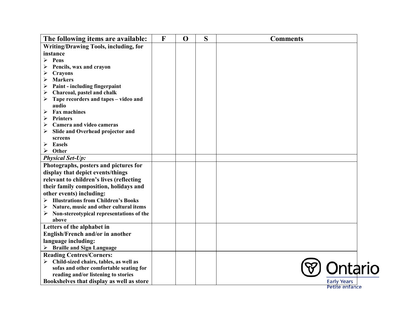| The following items are available:                 | F | $\mathbf 0$ | S | <b>Comments</b>    |  |
|----------------------------------------------------|---|-------------|---|--------------------|--|
| <b>Writing/Drawing Tools, including, for</b>       |   |             |   |                    |  |
| instance                                           |   |             |   |                    |  |
| Pens<br>⋗                                          |   |             |   |                    |  |
| Pencils, wax and crayon                            |   |             |   |                    |  |
| <b>Crayons</b><br>➤                                |   |             |   |                    |  |
| <b>Markers</b>                                     |   |             |   |                    |  |
| Paint - including fingerpaint<br>➤                 |   |             |   |                    |  |
| Charcoal, pastel and chalk<br>➤                    |   |             |   |                    |  |
| Tape recorders and tapes - video and<br>➤<br>audio |   |             |   |                    |  |
| <b>Fax machines</b><br>➤                           |   |             |   |                    |  |
| <b>Printers</b><br>➤                               |   |             |   |                    |  |
| Camera and video cameras                           |   |             |   |                    |  |
| Slide and Overhead projector and                   |   |             |   |                    |  |
| screens                                            |   |             |   |                    |  |
| <b>Easels</b><br>➤                                 |   |             |   |                    |  |
| Other<br>≻                                         |   |             |   |                    |  |
| <b>Physical Set-Up:</b>                            |   |             |   |                    |  |
| Photographs, posters and pictures for              |   |             |   |                    |  |
| display that depict events/things                  |   |             |   |                    |  |
| relevant to children's lives (reflecting           |   |             |   |                    |  |
| their family composition, holidays and             |   |             |   |                    |  |
| other events) including:                           |   |             |   |                    |  |
| <b>Illustrations from Children's Books</b>         |   |             |   |                    |  |
| Nature, music and other cultural items<br>➤        |   |             |   |                    |  |
| Non-stereotypical representations of the<br>➤      |   |             |   |                    |  |
| above                                              |   |             |   |                    |  |
| Letters of the alphabet in                         |   |             |   |                    |  |
| English/French and/or in another                   |   |             |   |                    |  |
| language including:                                |   |             |   |                    |  |
| <b>Braille and Sign Language</b>                   |   |             |   |                    |  |
| <b>Reading Centres/Corners:</b>                    |   |             |   |                    |  |
| Child-sized chairs, tables, as well as             |   |             |   |                    |  |
| sofas and other comfortable seating for            |   |             |   | ntario             |  |
| reading and/or listening to stories                |   |             |   |                    |  |
| Bookshelves that display as well as store          |   |             |   | <b>Early Years</b> |  |

Petite enfance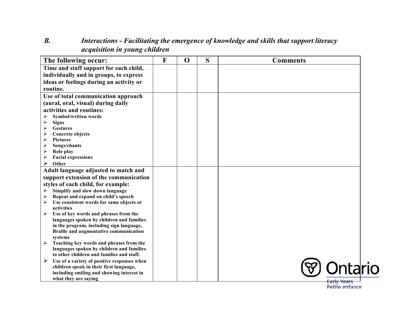#### *B. Interactions - Facilitating the emergence of knowledge and skills that support literacy acquisition in young children*

| The following occur:                                                        | F | $\mathbf 0$ | S | <b>Comments</b>    |
|-----------------------------------------------------------------------------|---|-------------|---|--------------------|
| Time and staff support for each child,                                      |   |             |   |                    |
| individually and in groups, to express                                      |   |             |   |                    |
| ideas or feelings during an activity or                                     |   |             |   |                    |
| routine.                                                                    |   |             |   |                    |
| Use of total communication approach                                         |   |             |   |                    |
| (aural, oral, visual) during daily                                          |   |             |   |                    |
| activities and routines:                                                    |   |             |   |                    |
| Symbol/written words                                                        |   |             |   |                    |
| <b>Signs</b><br>➤                                                           |   |             |   |                    |
| <b>Gestures</b><br>➤                                                        |   |             |   |                    |
| <b>Concrete objects</b><br>➤                                                |   |             |   |                    |
| $\blacktriangleright$<br><b>Pictures</b>                                    |   |             |   |                    |
| Songs/chants<br>➤                                                           |   |             |   |                    |
| ➤<br>Role play                                                              |   |             |   |                    |
| ➤<br><b>Facial expressions</b>                                              |   |             |   |                    |
| ➤<br>Other                                                                  |   |             |   |                    |
| Adult language adjusted to match and                                        |   |             |   |                    |
| support extension of the communication                                      |   |             |   |                    |
| styles of each child, for example:                                          |   |             |   |                    |
| Simplify and slow down language<br>➤                                        |   |             |   |                    |
| Repeat and expand on child's speech                                         |   |             |   |                    |
| Use consistent words for same objects or<br>➤                               |   |             |   |                    |
| activities                                                                  |   |             |   |                    |
| Use of key words and phrases from the<br>$\blacktriangleright$              |   |             |   |                    |
| languages spoken by children and families                                   |   |             |   |                    |
| in the program, including sign language,                                    |   |             |   |                    |
| Braille and augmentative communication                                      |   |             |   |                    |
| systems<br>Teaching key words and phrases from the<br>$\blacktriangleright$ |   |             |   |                    |
| languages spoken by children and families                                   |   |             |   |                    |
| to other children and families and staff.                                   |   |             |   |                    |
| Use of a variety of positive responses when<br>➤                            |   |             |   |                    |
| children speak in their first language,                                     |   |             |   |                    |
| including smiling and showing interest in                                   |   |             |   |                    |
| what they are saying                                                        |   |             |   | <b>Early Years</b> |

Petite enfance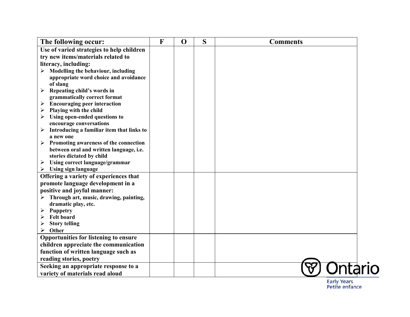| The following occur:                                        | $\mathbf{F}$ | $\mathbf 0$ | S | <b>Comments</b> |  |
|-------------------------------------------------------------|--------------|-------------|---|-----------------|--|
| Use of varied strategies to help children                   |              |             |   |                 |  |
| try new items/materials related to                          |              |             |   |                 |  |
| literacy, including:                                        |              |             |   |                 |  |
| Modelling the behaviour, including<br>$\blacktriangleright$ |              |             |   |                 |  |
| appropriate word choice and avoidance                       |              |             |   |                 |  |
| of slang                                                    |              |             |   |                 |  |
| Repeating child's words in<br>$\blacktriangleright$         |              |             |   |                 |  |
| grammatically correct format                                |              |             |   |                 |  |
| <b>Encouraging peer interaction</b><br>➤                    |              |             |   |                 |  |
| Playing with the child<br>➤                                 |              |             |   |                 |  |
| Using open-ended questions to<br>➤                          |              |             |   |                 |  |
| encourage conversations                                     |              |             |   |                 |  |
| Introducing a familiar item that links to<br>➤              |              |             |   |                 |  |
| a new one                                                   |              |             |   |                 |  |
| Promoting awareness of the connection<br>➤                  |              |             |   |                 |  |
| between oral and written language, i.e.                     |              |             |   |                 |  |
| stories dictated by child                                   |              |             |   |                 |  |
| Using correct language/grammar<br>$\blacktriangleright$     |              |             |   |                 |  |
| <b>Using sign language</b><br>➤                             |              |             |   |                 |  |
| Offering a variety of experiences that                      |              |             |   |                 |  |
| promote language development in a                           |              |             |   |                 |  |
| positive and joyful manner:                                 |              |             |   |                 |  |
| Through art, music, drawing, painting,                      |              |             |   |                 |  |
| dramatic play, etc.                                         |              |             |   |                 |  |
| Puppetry<br>➤                                               |              |             |   |                 |  |
| <b>Felt board</b>                                           |              |             |   |                 |  |
| <b>Story telling</b>                                        |              |             |   |                 |  |
| Other<br>➤                                                  |              |             |   |                 |  |
| Opportunities for listening to ensure                       |              |             |   |                 |  |
| children appreciate the communication                       |              |             |   |                 |  |
| function of written language such as                        |              |             |   |                 |  |
| reading stories, poetry                                     |              |             |   |                 |  |
| Seeking an appropriate response to a                        |              |             |   |                 |  |
| variety of materials read aloud                             |              |             |   |                 |  |

Early Years<br>Petite enfance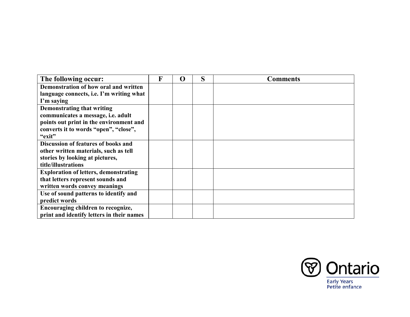| The following occur:                         | F | $\Omega$ | S | <b>Comments</b> |
|----------------------------------------------|---|----------|---|-----------------|
| Demonstration of how oral and written        |   |          |   |                 |
| language connects, i.e. I'm writing what     |   |          |   |                 |
| I'm saying                                   |   |          |   |                 |
| <b>Demonstrating that writing</b>            |   |          |   |                 |
| communicates a message, i.e. adult           |   |          |   |                 |
| points out print in the environment and      |   |          |   |                 |
| converts it to words "open", "close",        |   |          |   |                 |
| "exit"                                       |   |          |   |                 |
| <b>Discussion of features of books and</b>   |   |          |   |                 |
| other written materials, such as tell        |   |          |   |                 |
| stories by looking at pictures,              |   |          |   |                 |
| title/illustrations                          |   |          |   |                 |
| <b>Exploration of letters, demonstrating</b> |   |          |   |                 |
| that letters represent sounds and            |   |          |   |                 |
| written words convey meanings                |   |          |   |                 |
| Use of sound patterns to identify and        |   |          |   |                 |
| predict words                                |   |          |   |                 |
| Encouraging children to recognize,           |   |          |   |                 |
| print and identify letters in their names    |   |          |   |                 |

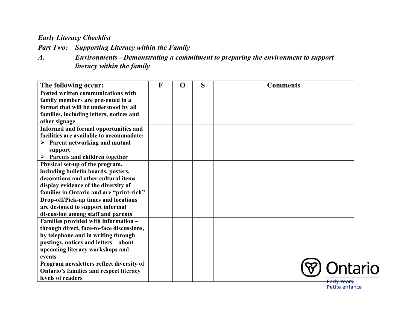*Part Two: Supporting Literacy within the Family*

*A. Environments - Demonstrating a commitment to preparing the environment to support literacy within the family*

| The following occur:                           | F | $\mathbf 0$ | S | <b>Comments</b> |
|------------------------------------------------|---|-------------|---|-----------------|
| Posted written communications with             |   |             |   |                 |
| family members are presented in a              |   |             |   |                 |
| format that will be understood by all          |   |             |   |                 |
| families, including letters, notices and       |   |             |   |                 |
| other signage                                  |   |             |   |                 |
| Informal and formal opportunities and          |   |             |   |                 |
| facilities are available to accommodate:       |   |             |   |                 |
| $\triangleright$ Parent networking and mutual  |   |             |   |                 |
| support                                        |   |             |   |                 |
| $\triangleright$ Parents and children together |   |             |   |                 |
| Physical set-up of the program,                |   |             |   |                 |
| including bulletin boards, posters,            |   |             |   |                 |
| decorations and other cultural items           |   |             |   |                 |
| display evidence of the diversity of           |   |             |   |                 |
| families in Ontario and are "print-rich"       |   |             |   |                 |
| Drop-off/Pick-up times and locations           |   |             |   |                 |
| are designed to support informal               |   |             |   |                 |
| discussion among staff and parents             |   |             |   |                 |
| Families provided with information -           |   |             |   |                 |
| through direct, face-to-face discussions,      |   |             |   |                 |
| by telephone and in writing through            |   |             |   |                 |
| postings, notices and letters - about          |   |             |   |                 |
| upcoming literacy workshops and                |   |             |   |                 |
| events                                         |   |             |   |                 |
| Program newsletters reflect diversity of       |   |             |   |                 |
| <b>Ontario's families and respect literacy</b> |   |             |   |                 |
| levels of readers                              |   |             |   | Early Years     |
|                                                |   |             |   | Petite enfance  |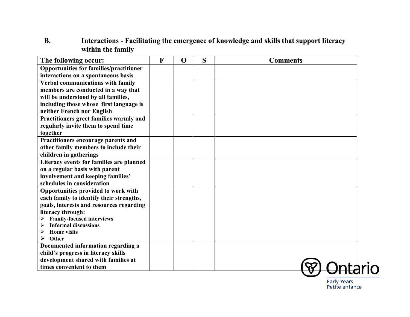#### **B. Interactions - Facilitating the emergence of knowledge and skills that support literacy within the family**

| The following occur:                                            | $\mathbf{F}$ | $\mathbf 0$ | S | <b>Comments</b> |
|-----------------------------------------------------------------|--------------|-------------|---|-----------------|
| <b>Opportunities for families/practitioner</b>                  |              |             |   |                 |
| interactions on a spontaneous basis                             |              |             |   |                 |
| Verbal communications with family                               |              |             |   |                 |
| members are conducted in a way that                             |              |             |   |                 |
| will be understood by all families,                             |              |             |   |                 |
| including those whose first language is                         |              |             |   |                 |
| neither French nor English                                      |              |             |   |                 |
| Practitioners greet families warmly and                         |              |             |   |                 |
| regularly invite them to spend time                             |              |             |   |                 |
| together                                                        |              |             |   |                 |
| Practitioners encourage parents and                             |              |             |   |                 |
| other family members to include their                           |              |             |   |                 |
| children in gatherings                                          |              |             |   |                 |
| Literacy events for families are planned                        |              |             |   |                 |
| on a regular basis with parent                                  |              |             |   |                 |
| involvement and keeping families'                               |              |             |   |                 |
| schedules in consideration                                      |              |             |   |                 |
| Opportunities provided to work with                             |              |             |   |                 |
| each family to identify their strengths,                        |              |             |   |                 |
| goals, interests and resources regarding                        |              |             |   |                 |
| literacy through:                                               |              |             |   |                 |
| <b>Family-focused interviews</b><br><b>Informal discussions</b> |              |             |   |                 |
| <b>Home</b> visits                                              |              |             |   |                 |
| Other                                                           |              |             |   |                 |
| Documented information regarding a                              |              |             |   |                 |
| child's progress in literacy skills                             |              |             |   |                 |
| development shared with families at                             |              |             |   |                 |
| times convenient to them                                        |              |             |   |                 |

Early Years<br>Petite enfance

rio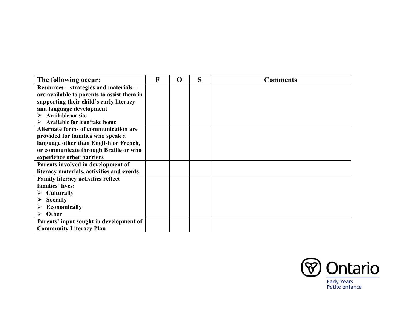| The following occur:                        | F | O | S | <b>Comments</b> |
|---------------------------------------------|---|---|---|-----------------|
| Resources – strategies and materials –      |   |   |   |                 |
| are available to parents to assist them in  |   |   |   |                 |
| supporting their child's early literacy     |   |   |   |                 |
| and language development                    |   |   |   |                 |
| <b>Available on-site</b>                    |   |   |   |                 |
| Available for loan/take home                |   |   |   |                 |
| <b>Alternate forms of communication are</b> |   |   |   |                 |
| provided for families who speak a           |   |   |   |                 |
| language other than English or French,      |   |   |   |                 |
| or communicate through Braille or who       |   |   |   |                 |
| experience other barriers                   |   |   |   |                 |
| Parents involved in development of          |   |   |   |                 |
| literacy materials, activities and events   |   |   |   |                 |
| <b>Family literacy activities reflect</b>   |   |   |   |                 |
| families' lives:                            |   |   |   |                 |
| <b>Culturally</b><br>➤                      |   |   |   |                 |
| <b>Socially</b>                             |   |   |   |                 |
| <b>Economically</b>                         |   |   |   |                 |
| Other                                       |   |   |   |                 |
| Parents' input sought in development of     |   |   |   |                 |
| <b>Community Literacy Plan</b>              |   |   |   |                 |

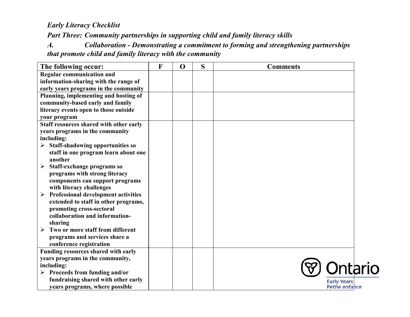*Part Three: Community partnerships in supporting child and family literacy skills*

*A. Collaboration - Demonstrating a commitment to forming and strengthening partnerships that promote child and family literacy with the community*

| The following occur:                                      | F | $\mathbf 0$ | S | <b>Comments</b>    |
|-----------------------------------------------------------|---|-------------|---|--------------------|
| <b>Regular communication and</b>                          |   |             |   |                    |
| information-sharing with the range of                     |   |             |   |                    |
| early years programs in the community                     |   |             |   |                    |
| Planning, implementing and hosting of                     |   |             |   |                    |
| community-based early and family                          |   |             |   |                    |
| literacy events open to those outside                     |   |             |   |                    |
| your program                                              |   |             |   |                    |
| Staff resources shared with other early                   |   |             |   |                    |
| years programs in the community                           |   |             |   |                    |
| including:                                                |   |             |   |                    |
| $\triangleright$ Staff-shadowing opportunities so         |   |             |   |                    |
| staff in one program learn about one                      |   |             |   |                    |
| another                                                   |   |             |   |                    |
| Staff-exchange programs so<br>➤                           |   |             |   |                    |
| programs with strong literacy                             |   |             |   |                    |
| components can support programs                           |   |             |   |                    |
| with literacy challenges                                  |   |             |   |                    |
| Professional development activities<br>➤                  |   |             |   |                    |
| extended to staff in other programs,                      |   |             |   |                    |
| promoting cross-sectoral                                  |   |             |   |                    |
| collaboration and information-                            |   |             |   |                    |
| sharing                                                   |   |             |   |                    |
| Two or more staff from different<br>$\blacktriangleright$ |   |             |   |                    |
| programs and services share a                             |   |             |   |                    |
| conference registration                                   |   |             |   |                    |
| Funding resources shared with early                       |   |             |   |                    |
| years programs in the community,                          |   |             |   |                    |
| including:                                                |   |             |   |                    |
| $\triangleright$ Proceeds from funding and/or             |   |             |   |                    |
| fundraising shared with other early                       |   |             |   | <b>Early Years</b> |
| years programs, where possible                            |   |             |   | Petite enfance     |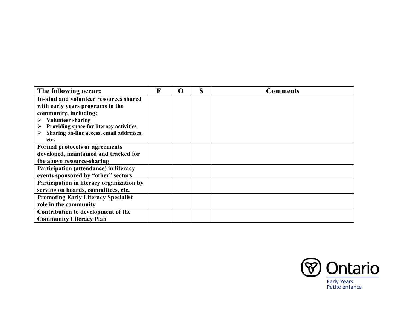| The following occur:                       | R | O | S | <b>Comments</b> |
|--------------------------------------------|---|---|---|-----------------|
| In-kind and volunteer resources shared     |   |   |   |                 |
| with early years programs in the           |   |   |   |                 |
| community, including:                      |   |   |   |                 |
| <b>Volunteer sharing</b><br>➤              |   |   |   |                 |
| Providing space for literacy activities    |   |   |   |                 |
| Sharing on-line access, email addresses,   |   |   |   |                 |
| etc.                                       |   |   |   |                 |
| <b>Formal protocols or agreements</b>      |   |   |   |                 |
| developed, maintained and tracked for      |   |   |   |                 |
| the above resource-sharing                 |   |   |   |                 |
| Participation (attendance) in literacy     |   |   |   |                 |
| events sponsored by "other" sectors        |   |   |   |                 |
| Participation in literacy organization by  |   |   |   |                 |
| serving on boards, committees, etc.        |   |   |   |                 |
| <b>Promoting Early Literacy Specialist</b> |   |   |   |                 |
| role in the community                      |   |   |   |                 |
| Contribution to development of the         |   |   |   |                 |
| <b>Community Literacy Plan</b>             |   |   |   |                 |